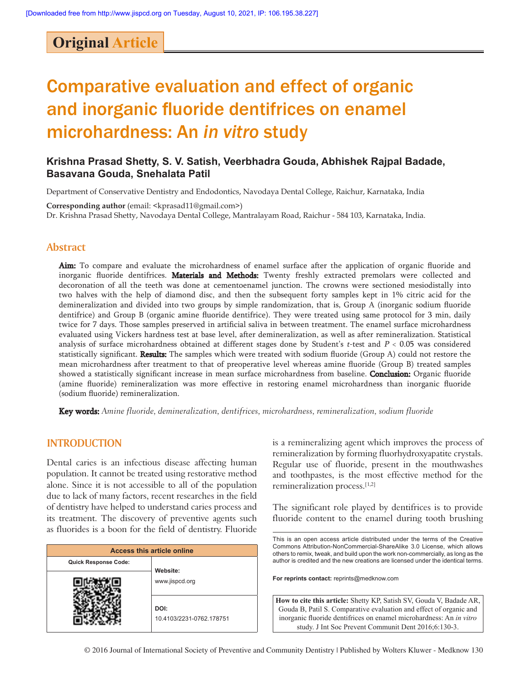# **Original Article**

# Comparative evaluation and effect of organic and inorganic fluoride dentifrices on enamel microhardness: An *in vitro* study

# **Krishna Prasad Shetty, S. V. Satish, Veerbhadra Gouda, Abhishek Rajpal Badade, Basavana Gouda, Snehalata Patil**

Department of Conservative Dentistry and Endodontics, Navodaya Dental College, Raichur, Karnataka, India

**Corresponding author** (email: <kprasad11@gmail.com>) Dr. Krishna Prasad Shetty, Navodaya Dental College, Mantralayam Road, Raichur ‑ 584 103, Karnataka, India.

### **Abstract**

Aim: To compare and evaluate the microhardness of enamel surface after the application of organic fluoride and inorganic fluoride dentifrices. Materials and Methods: Twenty freshly extracted premolars were collected and decoronation of all the teeth was done at cementoenamel junction. The crowns were sectioned mesiodistally into two halves with the help of diamond disc, and then the subsequent forty samples kept in 1% citric acid for the demineralization and divided into two groups by simple randomization, that is, Group A (inorganic sodium fluoride dentifrice) and Group B (organic amine fluoride dentifrice). They were treated using same protocol for 3 min, daily twice for 7 days. Those samples preserved in artificial saliva in between treatment. The enamel surface microhardness evaluated using Vickers hardness test at base level, after demineralization, as well as after remineralization. Statistical analysis of surface microhardness obtained at different stages done by Student's t-test and  $P < 0.05$  was considered statistically significant. Results: The samples which were treated with sodium fluoride (Group A) could not restore the mean microhardness after treatment to that of preoperative level whereas amine fluoride (Group B) treated samples showed a statistically significant increase in mean surface microhardness from baseline. **Conclusion:** Organic fluoride (amine fluoride) remineralization was more effective in restoring enamel microhardness than inorganic fluoride (sodium fluoride) remineralization.

**Key words:** Amine fluoride, demineralization, dentifrices, microhardness, remineralization, sodium fluoride

### **INTRODUCTION**

Dental caries is an infectious disease affecting human population. It cannot be treated using restorative method alone. Since it is not accessible to all of the population due to lack of many factors, recent researches in the field of dentistry have helped to understand caries process and its treatment. The discovery of preventive agents such as fluorides is a boon for the field of dentistry. Fluoride

| <b>Access this article online</b> |                            |  |  |  |  |
|-----------------------------------|----------------------------|--|--|--|--|
| <b>Quick Response Code:</b>       |                            |  |  |  |  |
|                                   | Website:<br>www.jispcd.org |  |  |  |  |
|                                   |                            |  |  |  |  |
|                                   | DOI:                       |  |  |  |  |
|                                   | 10.4103/2231-0762.178751   |  |  |  |  |

is a remineralizing agent which improves the process of remineralization by forming fluorhydroxyapatite crystals. Regular use of fluoride, present in the mouthwashes and toothpastes, is the most effective method for the remineralization process.[1,2]

The significant role played by dentifrices is to provide fluoride content to the enamel during tooth brushing

This is an open access article distributed under the terms of the Creative Commons Attribution-NonCommercial-ShareAlike 3.0 License, which allows others to remix, tweak, and build upon the work non‑commercially, as long as the author is credited and the new creations are licensed under the identical terms.

**For reprints contact:** reprints@medknow.com

**How to cite this article:** Shetty KP, Satish SV, Gouda V, Badade AR, Gouda B, Patil S. Comparative evaluation and effect of organic and inorganic fluoride dentifrices on enamel microhardness: An *in vitro* study. J Int Soc Prevent Communit Dent 2016;6:130-3.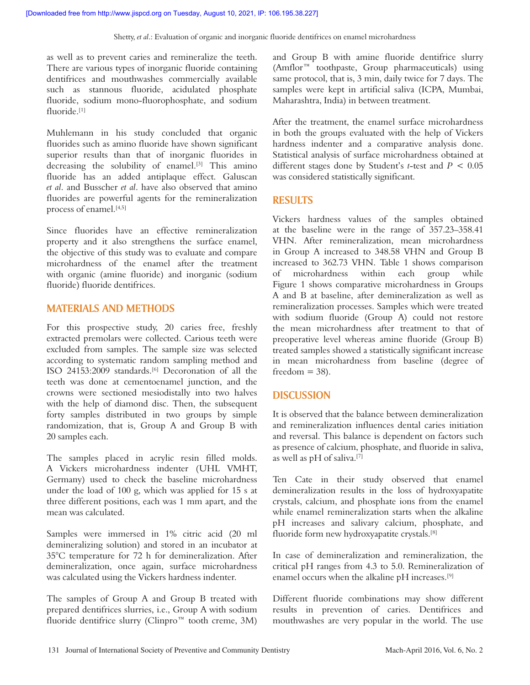as well as to prevent caries and remineralize the teeth. There are various types of inorganic fluoride containing dentifrices and mouthwashes commercially available such as stannous fluoride, acidulated phosphate fluoride, sodium mono-fluorophosphate, and sodium fluoride<sup>[1]</sup>

Muhlemann in his study concluded that organic fluorides such as amino fluoride have shown significant superior results than that of inorganic fluorides in decreasing the solubility of enamel.<sup>[3]</sup> This amino fluoride has an added antiplaque effect. Galuscan *et al*. and Busscher *et al*. have also observed that amino fluorides are powerful agents for the remineralization process of enamel.[4,5]

Since fluorides have an effective remineralization property and it also strengthens the surface enamel, the objective of this study was to evaluate and compare microhardness of the enamel after the treatment with organic (amine fluoride) and inorganic (sodium fluoride) fluoride dentifrices.

# **MATERIALS AND METHODS**

For this prospective study, 20 caries free, freshly extracted premolars were collected. Carious teeth were excluded from samples. The sample size was selected according to systematic random sampling method and ISO 24153:2009 standards.[6] Decoronation of all the teeth was done at cementoenamel junction, and the crowns were sectioned mesiodistally into two halves with the help of diamond disc. Then, the subsequent forty samples distributed in two groups by simple randomization, that is, Group A and Group B with 20 samples each.

The samples placed in acrylic resin filled molds. A Vickers microhardness indenter (UHL VMHT, Germany) used to check the baseline microhardness under the load of 100 g, which was applied for 15 s at three different positions, each was 1 mm apart, and the mean was calculated.

Samples were immersed in 1% citric acid (20 ml demineralizing solution) and stored in an incubator at 35°C temperature for 72 h for demineralization. After demineralization, once again, surface microhardness was calculated using the Vickers hardness indenter.

The samples of Group A and Group B treated with prepared dentifrices slurries, i.e., Group A with sodium fluoride dentifrice slurry (Clinpro™ tooth creme, 3M)

and Group B with amine fluoride dentifrice slurry (Amflor™ toothpaste, Group pharmaceuticals) using same protocol, that is, 3 min, daily twice for 7 days. The samples were kept in artificial saliva (ICPA, Mumbai, Maharashtra, India) in between treatment.

After the treatment, the enamel surface microhardness in both the groups evaluated with the help of Vickers hardness indenter and a comparative analysis done. Statistical analysis of surface microhardness obtained at different stages done by Student's *t*‑test and *P* < 0.05 was considered statistically significant.

# **RESULTS**

Vickers hardness values of the samples obtained at the baseline were in the range of 357.23–358.41 VHN. After remineralization, mean microhardness in Group A increased to 348.58 VHN and Group B increased to 362.73 VHN. Table 1 shows comparison of microhardness within each group while Figure 1 shows comparative microhardness in Groups A and B at baseline, after demineralization as well as remineralization processes. Samples which were treated with sodium fluoride (Group A) could not restore the mean microhardness after treatment to that of preoperative level whereas amine fluoride (Group B) treated samples showed a statistically significant increase in mean microhardness from baseline (degree of freedom  $=$  38).

# **DISCUSSION**

It is observed that the balance between demineralization and remineralization influences dental caries initiation and reversal. This balance is dependent on factors such as presence of calcium, phosphate, and fluoride in saliva, as well as pH of saliva.[7]

Ten Cate in their study observed that enamel demineralization results in the loss of hydroxyapatite crystals, calcium, and phosphate ions from the enamel while enamel remineralization starts when the alkaline pH increases and salivary calcium, phosphate, and fluoride form new hydroxyapatite crystals.[8]

In case of demineralization and remineralization, the critical pH ranges from 4.3 to 5.0. Remineralization of enamel occurs when the alkaline pH increases.[9]

Different fluoride combinations may show different results in prevention of caries. Dentifrices and mouthwashes are very popular in the world. The use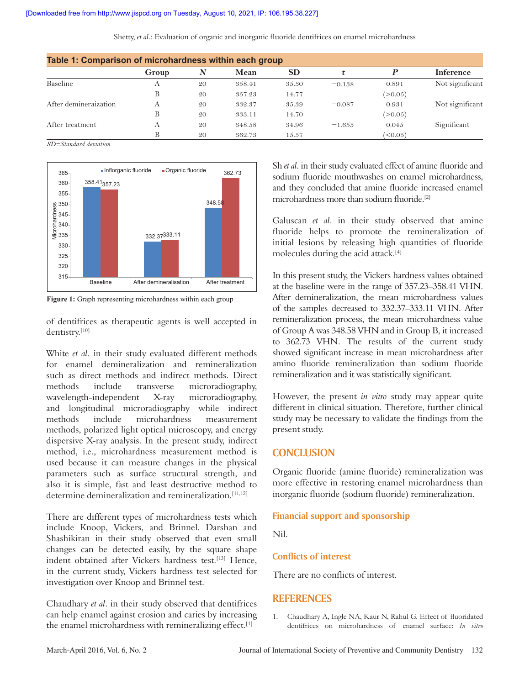Shetty, *et al*.: Evaluation of organic and inorganic fluoride dentifrices on enamel microhardness

| Table 1: Comparison of microhardness within each group |       |    |        |           |          |                     |                  |  |  |
|--------------------------------------------------------|-------|----|--------|-----------|----------|---------------------|------------------|--|--|
|                                                        | Group | N  | Mean   | <b>SD</b> |          | D                   | <b>Inference</b> |  |  |
| Baseline                                               | A     | 20 | 358.41 | 35.30     | $-0.138$ | 0.891               | Not significant  |  |  |
|                                                        | В     | 20 | 357.23 | 14.77     |          | (>0.05)             |                  |  |  |
| After demineraization                                  | A     | 20 | 332.37 | 35.39     | $-0.087$ | 0.931               | Not significant  |  |  |
|                                                        | В     | 20 | 333.11 | 14.70     |          | (>0.05)             |                  |  |  |
| After treatment                                        | А     | 20 | 348.58 | 34.96     | $-1.653$ | 0.045               | Significant      |  |  |
|                                                        |       | 20 | 362.73 | 15.57     |          | $^{\prime}$ < 0.05) |                  |  |  |

*SD=Standard deviation*



**Figure 1:** Graph representing microhardness within each group

of dentifrices as therapeutic agents is well accepted in dentistry.[10]

White *et al*. in their study evaluated different methods for enamel demineralization and remineralization such as direct methods and indirect methods. Direct methods include transverse microradiography, wavelength-independent X-ray microradiography, and longitudinal microradiography while indirect methods include microhardness measurement methods, polarized light optical microscopy, and energy dispersive X‑ray analysis. In the present study, indirect method, i.e., microhardness measurement method is used because it can measure changes in the physical parameters such as surface structural strength, and also it is simple, fast and least destructive method to determine demineralization and remineralization.[11,12]

There are different types of microhardness tests which include Knoop, Vickers, and Brinnel. Darshan and Shashikiran in their study observed that even small changes can be detected easily, by the square shape indent obtained after Vickers hardness test.<sup>[13]</sup> Hence, in the current study, Vickers hardness test selected for investigation over Knoop and Brinnel test.

Chaudhary *et al*. in their study observed that dentifrices can help enamel against erosion and caries by increasing the enamel microhardness with remineralizing effect.[1]

Sh *et al*. in their study evaluated effect of amine fluoride and sodium fluoride mouthwashes on enamel microhardness, and they concluded that amine fluoride increased enamel microhardness more than sodium fluoride.[2]

Galuscan *et al*. in their study observed that amine fluoride helps to promote the remineralization of initial lesions by releasing high quantities of fluoride molecules during the acid attack.[4]

In this present study, the Vickers hardness values obtained at the baseline were in the range of 357.23–358.41 VHN. After demineralization, the mean microhardness values of the samples decreased to 332.37–333.11 VHN. After remineralization process, the mean microhardness value of Group A was 348.58 VHN and in Group B, it increased to 362.73 VHN. The results of the current study showed significant increase in mean microhardness after amino fluoride remineralization than sodium fluoride remineralization and it was statistically significant.

However, the present *in vitro* study may appear quite different in clinical situation. Therefore, further clinical study may be necessary to validate the findings from the present study.

## **CONCLUSION**

Organic fluoride (amine fluoride) remineralization was more effective in restoring enamel microhardness than inorganic fluoride (sodium fluoride) remineralization.

#### **Financial support and sponsorship**

Nil.

#### **Conflicts of interest**

There are no conflicts of interest.

#### **REFERENCES**

1. Chaudhary A, Ingle NA, Kaur N, Rahul G. Effect of fluoridated dentifrices on microhardness of enamel surface: *In vitro*